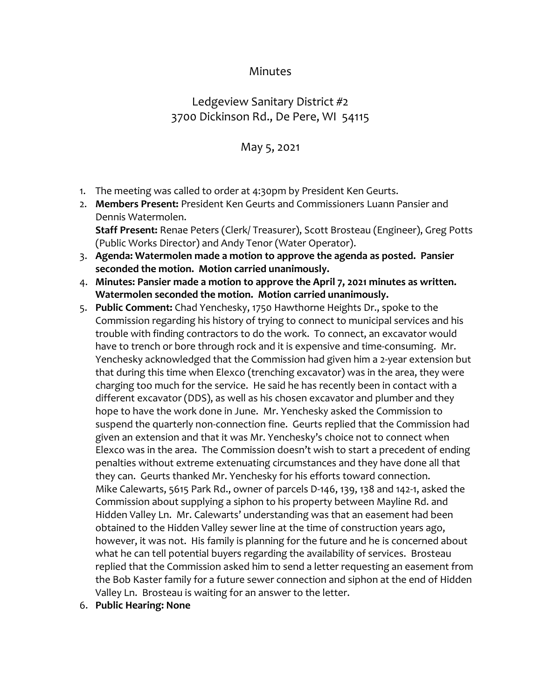## Minutes

## Ledgeview Sanitary District #2 3700 Dickinson Rd., De Pere, WI 54115

## May 5, 2021

- 1. The meeting was called to order at 4:30pm by President Ken Geurts.
- 2. **Members Present:** President Ken Geurts and Commissioners Luann Pansier and Dennis Watermolen. **Staff Present:** Renae Peters (Clerk/ Treasurer), Scott Brosteau (Engineer), Greg Potts (Public Works Director) and Andy Tenor (Water Operator).
- 3. **Agenda: Watermolen made a motion to approve the agenda as posted. Pansier seconded the motion. Motion carried unanimously.**
- 4. **Minutes: Pansier made a motion to approve the April 7, 2021 minutes as written. Watermolen seconded the motion. Motion carried unanimously.**
- 5. **Public Comment:** Chad Yenchesky, 1750 Hawthorne Heights Dr., spoke to the Commission regarding his history of trying to connect to municipal services and his trouble with finding contractors to do the work. To connect, an excavator would have to trench or bore through rock and it is expensive and time-consuming. Mr. Yenchesky acknowledged that the Commission had given him a 2-year extension but that during this time when Elexco (trenching excavator) was in the area, they were charging too much for the service. He said he has recently been in contact with a different excavator (DDS), as well as his chosen excavator and plumber and they hope to have the work done in June. Mr. Yenchesky asked the Commission to suspend the quarterly non-connection fine. Geurts replied that the Commission had given an extension and that it was Mr. Yenchesky's choice not to connect when Elexco was in the area. The Commission doesn't wish to start a precedent of ending penalties without extreme extenuating circumstances and they have done all that they can. Geurts thanked Mr. Yenchesky for his efforts toward connection. Mike Calewarts, 5615 Park Rd., owner of parcels D-146, 139, 138 and 142-1, asked the Commission about supplying a siphon to his property between Mayline Rd. and Hidden Valley Ln. Mr. Calewarts' understanding was that an easement had been obtained to the Hidden Valley sewer line at the time of construction years ago, however, it was not. His family is planning for the future and he is concerned about what he can tell potential buyers regarding the availability of services. Brosteau replied that the Commission asked him to send a letter requesting an easement from the Bob Kaster family for a future sewer connection and siphon at the end of Hidden Valley Ln. Brosteau is waiting for an answer to the letter.
- 6. **Public Hearing: None**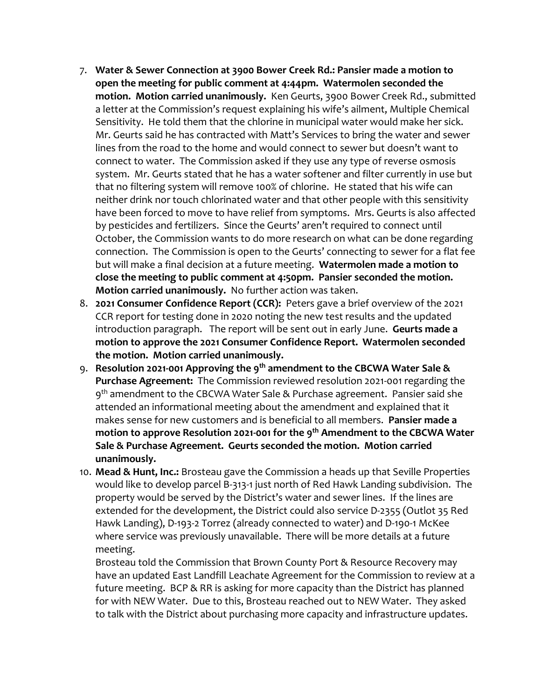- 7. **Water & Sewer Connection at 3900 Bower Creek Rd.: Pansier made a motion to open the meeting for public comment at 4:44pm. Watermolen seconded the motion. Motion carried unanimously.** Ken Geurts, 3900 Bower Creek Rd., submitted a letter at the Commission's request explaining his wife's ailment, Multiple Chemical Sensitivity. He told them that the chlorine in municipal water would make her sick. Mr. Geurts said he has contracted with Matt's Services to bring the water and sewer lines from the road to the home and would connect to sewer but doesn't want to connect to water. The Commission asked if they use any type of reverse osmosis system. Mr. Geurts stated that he has a water softener and filter currently in use but that no filtering system will remove 100% of chlorine. He stated that his wife can neither drink nor touch chlorinated water and that other people with this sensitivity have been forced to move to have relief from symptoms. Mrs. Geurts is also affected by pesticides and fertilizers. Since the Geurts' aren't required to connect until October, the Commission wants to do more research on what can be done regarding connection. The Commission is open to the Geurts' connecting to sewer for a flat fee but will make a final decision at a future meeting. **Watermolen made a motion to close the meeting to public comment at 4:50pm. Pansier seconded the motion. Motion carried unanimously.** No further action was taken.
- 8. **2021 Consumer Confidence Report (CCR):** Peters gave a brief overview of the 2021 CCR report for testing done in 2020 noting the new test results and the updated introduction paragraph. The report will be sent out in early June. **Geurts made a motion to approve the 2021 Consumer Confidence Report. Watermolen seconded the motion. Motion carried unanimously.**
- 9. **Resolution 2021-001 Approving the 9th amendment to the CBCWA Water Sale & Purchase Agreement:** The Commission reviewed resolution 2021-001 regarding the 9 th amendment to the CBCWA Water Sale & Purchase agreement. Pansier said she attended an informational meeting about the amendment and explained that it makes sense for new customers and is beneficial to all members. **Pansier made a motion to approve Resolution 2021-001 for the 9th Amendment to the CBCWA Water Sale & Purchase Agreement. Geurts seconded the motion. Motion carried unanimously.**
- 10. **Mead & Hunt, Inc.:** Brosteau gave the Commission a heads up that Seville Properties would like to develop parcel B-313-1 just north of Red Hawk Landing subdivision. The property would be served by the District's water and sewer lines. If the lines are extended for the development, the District could also service D-2355 (Outlot 35 Red Hawk Landing), D-193-2 Torrez (already connected to water) and D-190-1 McKee where service was previously unavailable. There will be more details at a future meeting.

Brosteau told the Commission that Brown County Port & Resource Recovery may have an updated East Landfill Leachate Agreement for the Commission to review at a future meeting. BCP & RR is asking for more capacity than the District has planned for with NEW Water. Due to this, Brosteau reached out to NEW Water. They asked to talk with the District about purchasing more capacity and infrastructure updates.